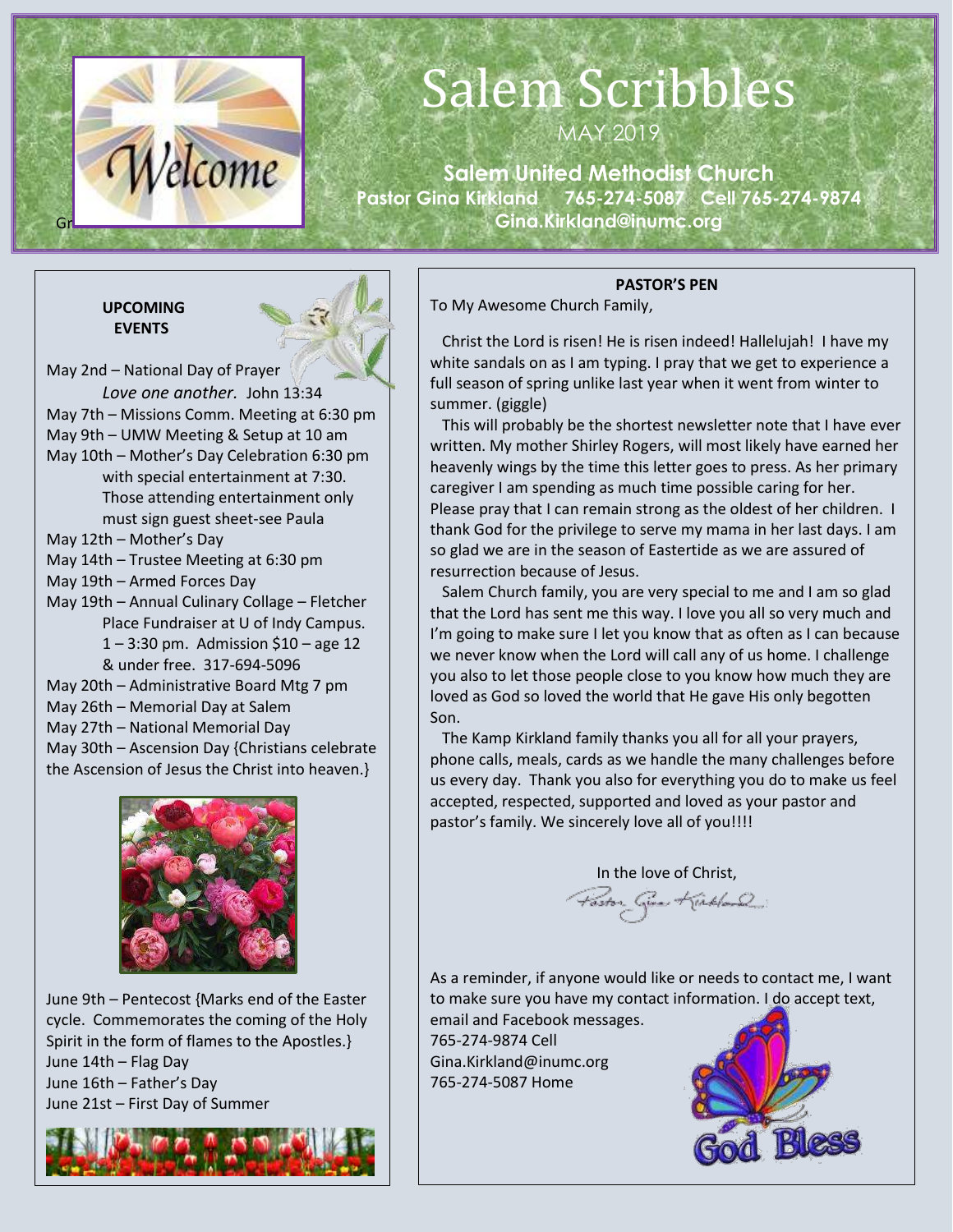

## Salem Scribbles

MAY 2019

**Salem United Methodist Church Pastor Gina Kirkland 765-274-5087 Cell 765-274-9874 Gina.Kirkland@inumc.org**

#### **UPCOMING EVENTS**



May 27th – National Memorial Day May 30th – Ascension Day {Christians celebrate the Ascension of Jesus the Christ into heaven.}



June 9th – Pentecost {Marks end of the Easter cycle. Commemorates the coming of the Holy Spirit in the form of flames to the Apostles.} June 14th – Flag Day June 16th – Father's Day June 21st – First Day of Summer



#### **PASTOR'S PEN**

To My Awesome Church Family,

 Christ the Lord is risen! He is risen indeed! Hallelujah! I have my white sandals on as I am typing. I pray that we get to experience a full season of spring unlike last year when it went from winter to summer. (giggle)

 This will probably be the shortest newsletter note that I have ever written. My mother Shirley Rogers, will most likely have earned her heavenly wings by the time this letter goes to press. As her primary caregiver I am spending as much time possible caring for her. Please pray that I can remain strong as the oldest of her children. I thank God for the privilege to serve my mama in her last days. I am so glad we are in the season of Eastertide as we are assured of resurrection because of Jesus.

 Salem Church family, you are very special to me and I am so glad that the Lord has sent me this way. I love you all so very much and I'm going to make sure I let you know that as often as I can because we never know when the Lord will call any of us home. I challenge you also to let those people close to you know how much they are loved as God so loved the world that He gave His only begotten Son.

 The Kamp Kirkland family thanks you all for all your prayers, phone calls, meals, cards as we handle the many challenges before us every day. Thank you also for everything you do to make us feel accepted, respected, supported and loved as your pastor and pastor's family. We sincerely love all of you!!!!

In the love of Christ,

As a reminder, if anyone would like or needs to contact me, I want to make sure you have my contact information. I do accept text,

email and Facebook messages. 765-274-9874 Cell Gina.Kirkland@inumc.org 765-274-5087 Home

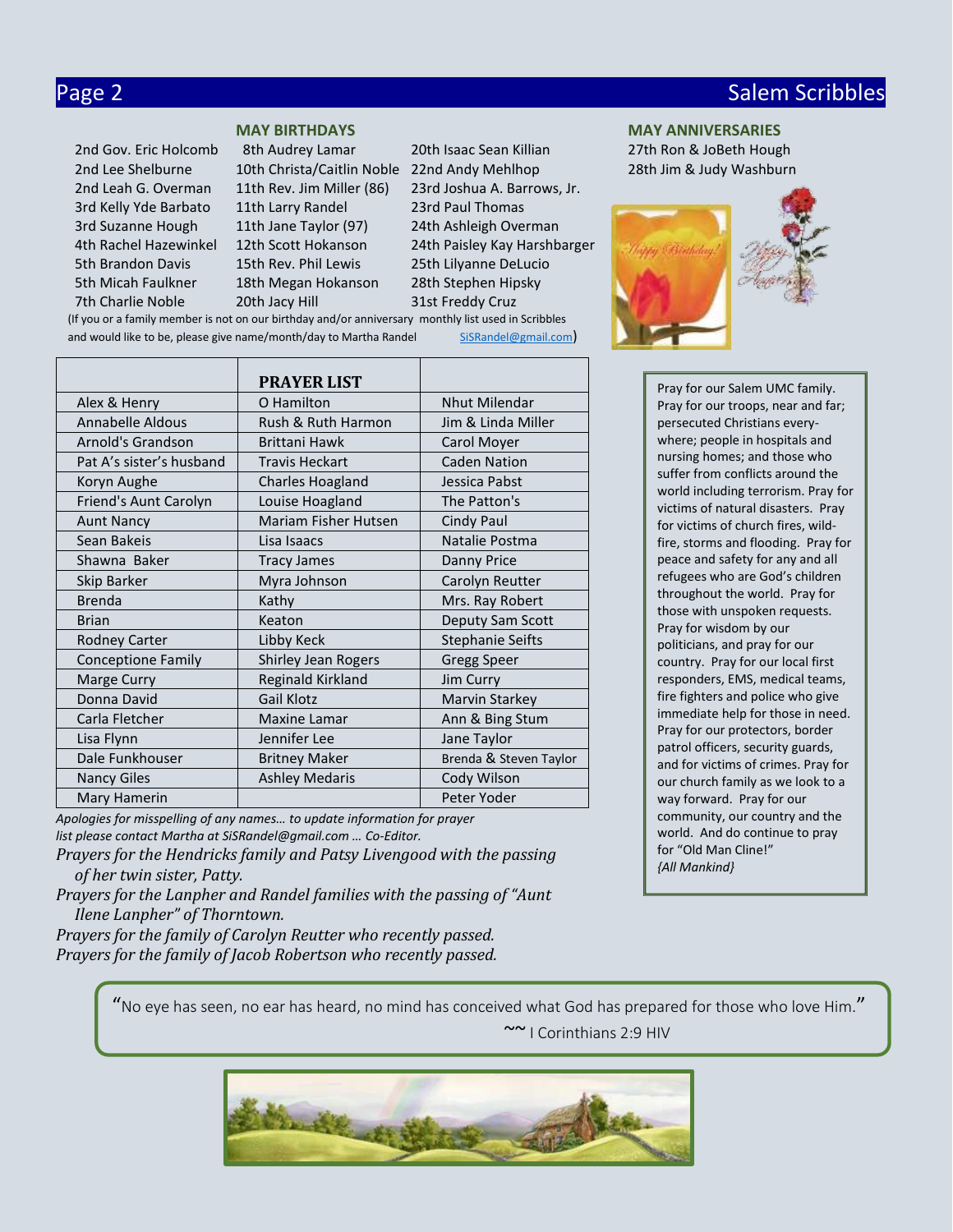## Page 2 Salem Scribbles and Contract Contract Contract Contract Contract Contract Contract Contract Contract Co

 3rd Kelly Yde Barbato 11th Larry Randel 23rd Paul Thomas 3rd Suzanne Hough 11th Jane Taylor (97) 24th Ashleigh Overman 5th Brandon Davis 15th Rev. Phil Lewis 25th Lilyanne DeLucio 5th Micah Faulkner 18th Megan Hokanson 28th Stephen Hipsky 7th Charlie Noble 20th Jacy Hill 31st Freddy Cruz

 2nd Gov. Eric Holcomb 8th Audrey Lamar 20th Isaac Sean Killian 27th Ron & JoBeth Hough 2nd Lee Shelburne 10th Christa/Caitlin Noble 22nd Andy Mehlhop 28th Jim & Judy Washburn 2nd Leah G. Overman 11th Rev. Jim Miller (86) 23rd Joshua A. Barrows, Jr. 4th Rachel Hazewinkel 12th Scott Hokanson 24th Paisley Kay Harshbarger (If you or a family member is not on our birthday and/or anniversary monthly list used in Scribbles

and would like to be, please give name/month/day to Martha Randel [SiSRandel@gmail.com](mailto:SiSRandel@gmail.com))

|                           | <b>PRAYER LIST</b>          |                         |  |
|---------------------------|-----------------------------|-------------------------|--|
| Alex & Henry              | O Hamilton                  | <b>Nhut Milendar</b>    |  |
| Annabelle Aldous          | Rush & Ruth Harmon          | Jim & Linda Miller      |  |
| Arnold's Grandson         | <b>Brittani Hawk</b>        | Carol Moyer             |  |
| Pat A's sister's husband  | <b>Travis Heckart</b>       | <b>Caden Nation</b>     |  |
| Koryn Aughe               | <b>Charles Hoagland</b>     | Jessica Pabst           |  |
| Friend's Aunt Carolyn     | Louise Hoagland             | The Patton's            |  |
| <b>Aunt Nancy</b>         | <b>Mariam Fisher Hutsen</b> | Cindy Paul              |  |
| Sean Bakeis               | Lisa Isaacs                 | Natalie Postma          |  |
| Shawna Baker              | <b>Tracy James</b>          | Danny Price             |  |
| Skip Barker               | Myra Johnson                | Carolyn Reutter         |  |
| <b>Brenda</b>             | Kathy                       | Mrs. Ray Robert         |  |
| <b>Brian</b>              | Keaton                      | Deputy Sam Scott        |  |
| Rodney Carter             | Libby Keck                  | <b>Stephanie Seifts</b> |  |
| <b>Conceptione Family</b> | Shirley Jean Rogers         | <b>Gregg Speer</b>      |  |
| Marge Curry               | Reginald Kirkland           | Jim Curry               |  |
| Donna David               | Gail Klotz                  | Marvin Starkey          |  |
| Carla Fletcher            | <b>Maxine Lamar</b>         | Ann & Bing Stum         |  |
| Lisa Flynn                | Jennifer Lee                | Jane Taylor             |  |
| Dale Funkhouser           | <b>Britney Maker</b>        | Brenda & Steven Taylor  |  |
| <b>Nancy Giles</b>        | <b>Ashley Medaris</b>       | Cody Wilson             |  |
| Mary Hamerin              |                             | Peter Yoder             |  |

*Apologies for misspelling of any names… to update information for prayer list please contact Martha at SiSRandel@gmail.com … Co-Editor.*

*Prayers for the Hendricks family and Patsy Livengood with the passing of her twin sister, Patty.*

*Prayers for the Lanpher and Randel families with the passing of "Aunt Ilene Lanpher" of Thorntown.*

*Prayers for the family of Carolyn Reutter who recently passed. Prayers for the family of Jacob Robertson who recently passed.*

**MAY BIRTHDAYS MAY ANNIVERSARIES**



Pray for our Salem UMC family. Pray for our troops, near and far; persecuted Christians everywhere; people in hospitals and nursing homes; and those who suffer from conflicts around the world including terrorism. Pray for victims of natural disasters. Pray for victims of church fires, wildfire, storms and flooding. Pray for peace and safety for any and all refugees who are God's children throughout the world. Pray for those with unspoken requests. Pray for wisdom by our politicians, and pray for our country. Pray for our local first responders, EMS, medical teams, fire fighters and police who give immediate help for those in need. Pray for our protectors, border patrol officers, security guards, and for victims of crimes. Pray for our church family as we look to a way forward. Pray for our community, our country and the world. And do continue to pray for "Old Man Cline!" *{All Mankind}*

"No eye has seen, no ear has heard, no mind has conceived what God has prepared for those who love Him."

~~ I Corinthians 2:9 HIV

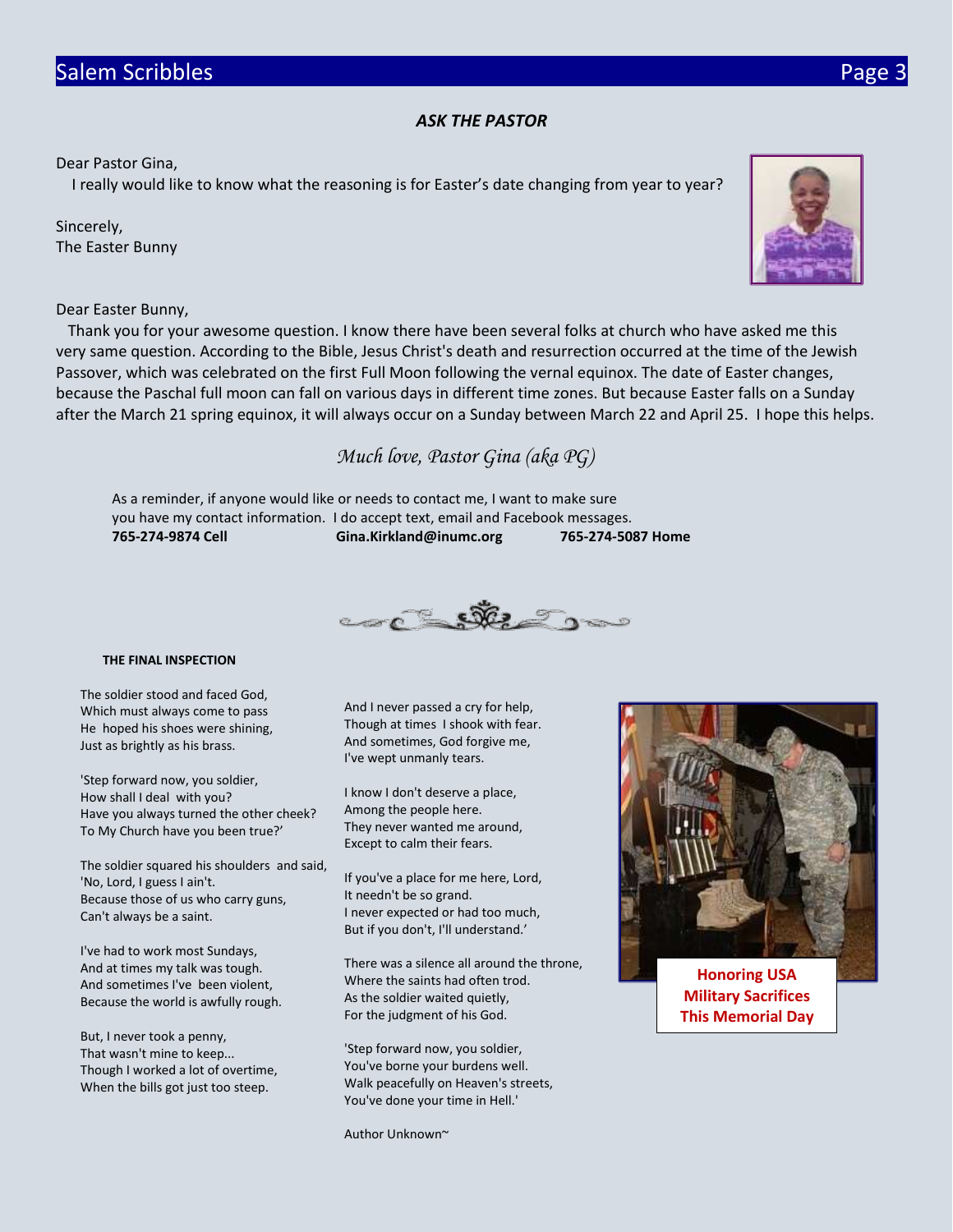#### *ASK THE PASTOR*

Dear Pastor Gina,

I really would like to know what the reasoning is for Easter's date changing from year to year?

Sincerely, The Easter Bunny

Dear Easter Bunny,

 Thank you for your awesome question. I know there have been several folks at church who have asked me this very same question. According to the Bible, Jesus Christ's death and resurrection occurred at the time of the Jewish Passover, which was celebrated on the first Full Moon following the vernal equinox. The date of Easter changes, because the Paschal full moon can fall on various days in different time zones. But because Easter falls on a Sunday after the March 21 spring equinox, it will always occur on a Sunday between March 22 and April 25. I hope this helps.

*Much love, Pastor Gina (aka PG)*

As a reminder, if anyone would like or needs to contact me, I want to make sure you have my contact information. I do accept text, email and Facebook messages. **765-274-9874 Cell Gina.Kirkland@inumc.org 765-274-5087 Home**



#### **THE FINAL INSPECTION**

The soldier stood and faced God, Which must always come to pass He hoped his shoes were shining, Just as brightly as his brass.

'Step forward now, you soldier, How shall I deal with you? Have you always turned the other cheek? To My Church have you been true?'

The soldier squared his shoulders and said, 'No, Lord, I guess I ain't. Because those of us who carry guns, Can't always be a saint.

I've had to work most Sundays, And at times my talk was tough. And sometimes I've been violent, Because the world is awfully rough.

But, I never took a penny, That wasn't mine to keep... Though I worked a lot of overtime, When the bills got just too steep.

And I never passed a cry for help, Though at times I shook with fear. And sometimes, God forgive me, I've wept unmanly tears.

I know I don't deserve a place, Among the people here. They never wanted me around, Except to calm their fears.

If you've a place for me here, Lord, It needn't be so grand. I never expected or had too much, But if you don't, I'll understand.'

There was a silence all around the throne, Where the saints had often trod. As the soldier waited quietly, For the judgment of his God.

'Step forward now, you soldier, You've borne your burdens well. Walk peacefully on Heaven's streets, You've done your time in Hell.'

Author Unknown~



**[Honoring USA](https://www.faithclipart.com/fca/affiliate.do?id=58&coupon=christmas)  Military Sacrifices This Memorial Day**

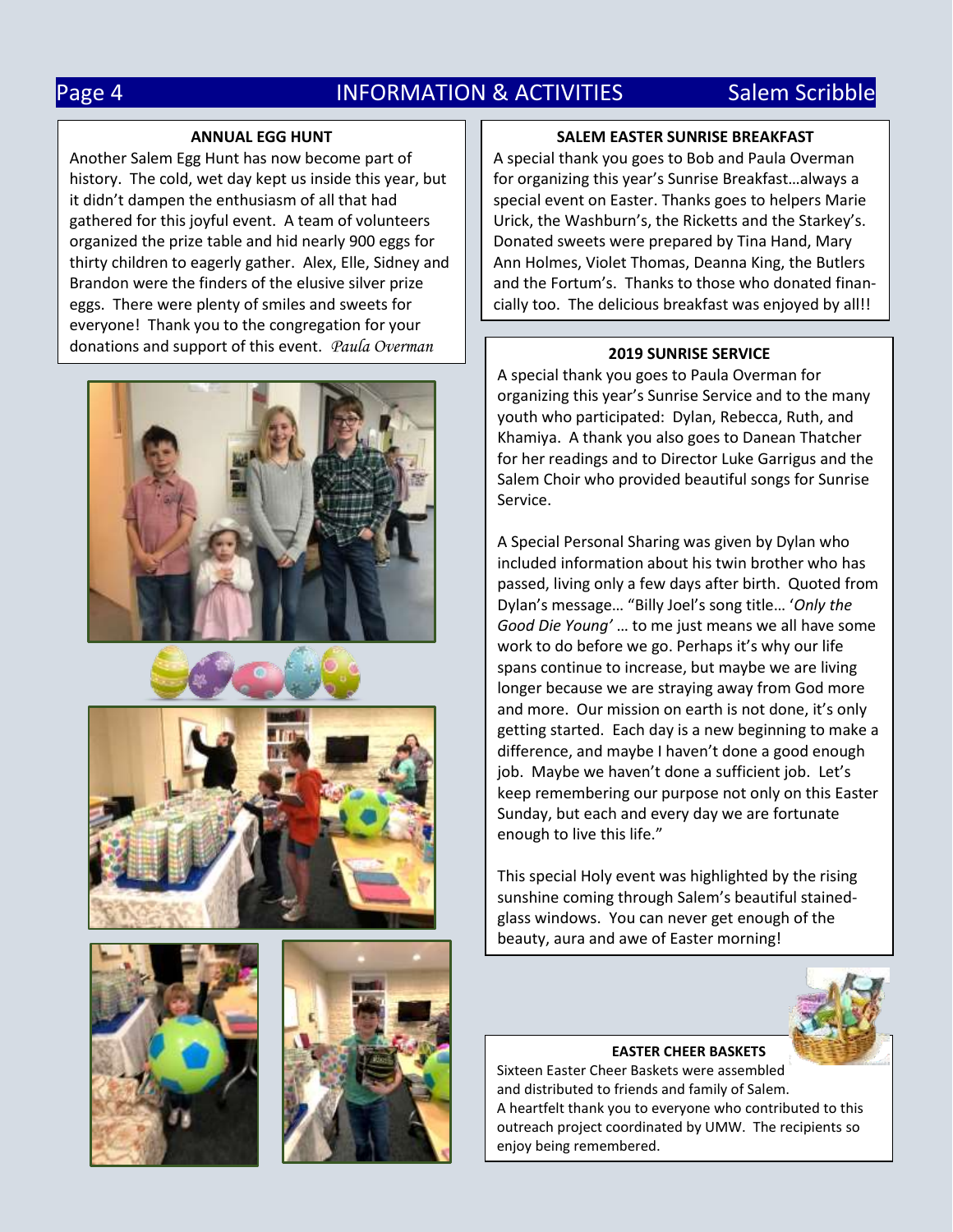## Page 4 **INFORMATION & ACTIVITIES** Salem Scribble

#### **ANNUAL EGG HUNT**

Another Salem Egg Hunt has now become part of history. The cold, wet day kept us inside this year, but it didn't dampen the enthusiasm of all that had gathered for this joyful event. A team of volunteers organized the prize table and hid nearly 900 eggs for thirty children to eagerly gather. Alex, Elle, Sidney and Brandon were the finders of the elusive silver prize eggs. There were plenty of smiles and sweets for everyone! Thank you to the congregation for your donations and support of this event. *Paula Overman*











#### **SALEM EASTER SUNRISE BREAKFAST**

A special thank you goes to Bob and Paula Overman for organizing this year's Sunrise Breakfast…always a special event on Easter. Thanks goes to helpers Marie Urick, the Washburn's, the Ricketts and the Starkey's. Donated sweets were prepared by Tina Hand, Mary Ann Holmes, Violet Thomas, Deanna King, the Butlers and the Fortum's. Thanks to those who donated financially too. The delicious breakfast was enjoyed by all!!

#### **2019 SUNRISE SERVICE**

A special thank you goes to Paula Overman for organizing this year's Sunrise Service and to the many youth who participated: Dylan, Rebecca, Ruth, and Khamiya. A thank you also goes to Danean Thatcher for her readings and to Director Luke Garrigus and the Salem Choir who provided beautiful songs for Sunrise Service.

A Special Personal Sharing was given by Dylan who included information about his twin brother who has passed, living only a few days after birth. Quoted from Dylan's message… "Billy Joel's song title… '*Only the Good Die Young'* … to me just means we all have some work to do before we go. Perhaps it's why our life spans continue to increase, but maybe we are living longer because we are straying away from God more and more. Our mission on earth is not done, it's only getting started. Each day is a new beginning to make a difference, and maybe I haven't done a good enough job. Maybe we haven't done a sufficient job. Let's keep remembering our purpose not only on this Easter Sunday, but each and every day we are fortunate enough to live this life."

This special Holy event was highlighted by the rising sunshine coming through Salem's beautiful stainedglass windows. You can never get enough of the beauty, aura and awe of Easter morning!



**EASTER CHEER BASKETS** Sixteen Easter Cheer Baskets were assembled and distributed to friends and family of Salem. A heartfelt thank you to everyone who contributed to this outreach project coordinated by UMW. The recipients so enjoy being remembered.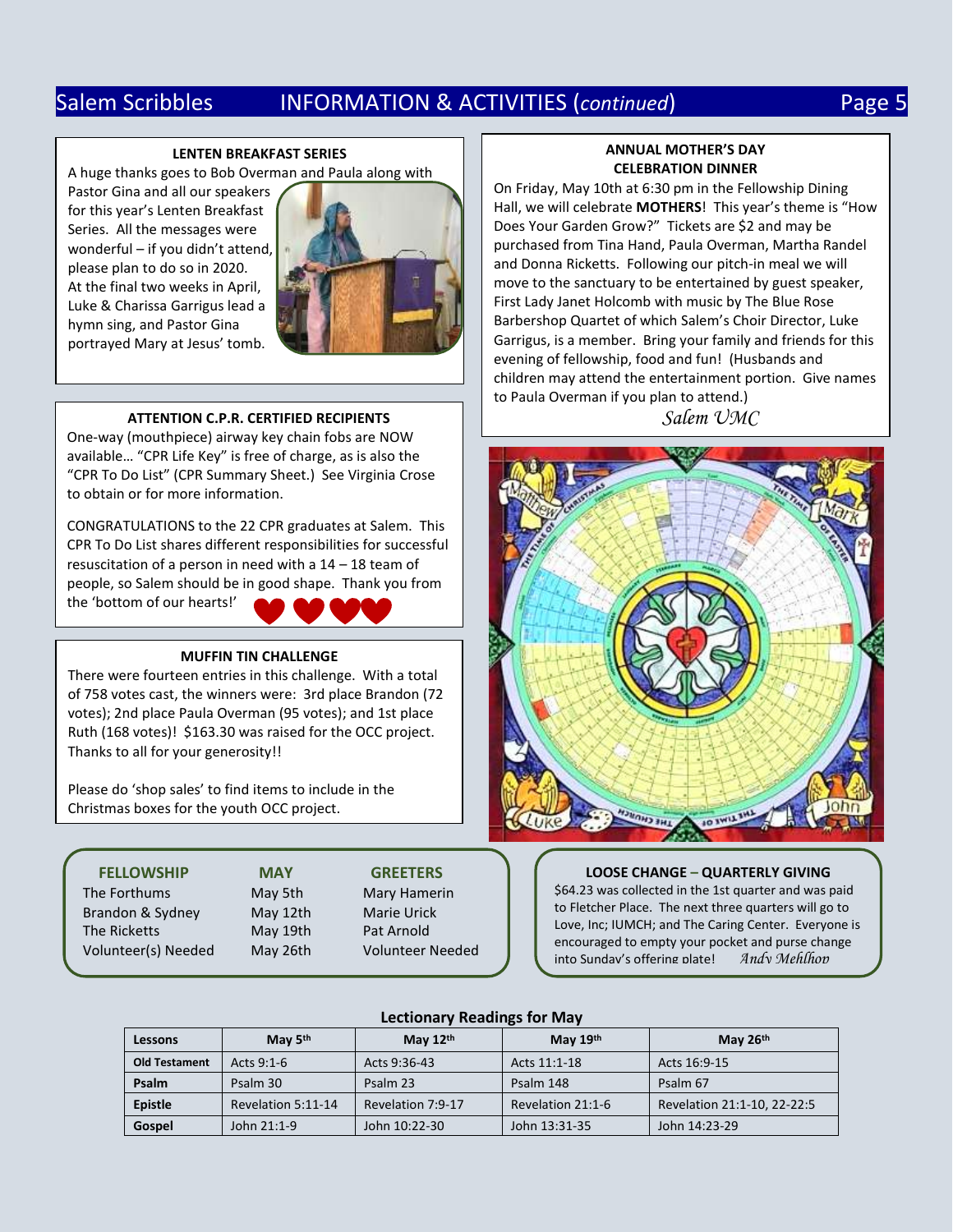## Salem Scribbles INFORMATION & ACTIVITIES (*continued*) Page 5

#### **LENTEN BREAKFAST SERIES**

A huge thanks goes to Bob Overman and Paula along with

Pastor Gina and all our speakers for this year's Lenten Breakfast Series. All the messages were wonderful – if you didn't attend, please plan to do so in 2020. At the final two weeks in April, Luke & Charissa Garrigus lead a hymn sing, and Pastor Gina portrayed Mary at Jesus' tomb.



#### **ATTENTION C.P.R. CERTIFIED RECIPIENTS**

One-way (mouthpiece) airway key chain fobs are NOW available… "CPR Life Key" is free of charge, as is also the "CPR To Do List" (CPR Summary Sheet.) See Virginia Crose to obtain or for more information.

CONGRATULATIONS to the 22 CPR graduates at Salem. This CPR To Do List shares different responsibilities for successful resuscitation of a person in need with a 14 – 18 team of people, so Salem should be in good shape. Thank you from the 'bottom of our hearts!'

#### **MUFFIN TIN CHALLENGE**

There were fourteen entries in this challenge. With a total of 758 votes cast, the winners were: 3rd place Brandon (72 votes); 2nd place Paula Overman (95 votes); and 1st place Ruth (168 votes)! \$163.30 was raised for the OCC project. Thanks to all for your generosity!!

Please do 'shop sales' to find items to include in the Christmas boxes for the youth OCC project.

#### The Forthums May 5th Mary Hamerin Brandon & Sydney May 12th Marie Urick The Ricketts May 19th Pat Arnold Volunteer(s) Needed May 26th Volunteer Needed

# **FELLOWSHIP MAY GREETERS**

#### **ANNUAL MOTHER'S DAY CELEBRATION DINNER**

On Friday, May 10th at 6:30 pm in the Fellowship Dining Hall, we will celebrate **MOTHERS**! This year's theme is "How Does Your Garden Grow?" Tickets are \$2 and may be purchased from Tina Hand, Paula Overman, Martha Randel and Donna Ricketts. Following our pitch-in meal we will move to the sanctuary to be entertained by guest speaker, First Lady Janet Holcomb with music by The Blue Rose Barbershop Quartet of which Salem's Choir Director, Luke Garrigus, is a member. Bring your family and friends for this evening of fellowship, food and fun! (Husbands and children may attend the entertainment portion. Give names to Paula Overman if you plan to attend.)

*Salem UMC*



**LOOSE CHANGE – QUARTERLY GIVING** \$64.23 was collected in the 1st quarter and was paid to Fletcher Place. The next three quarters will go to Love, Inc; IUMCH; and The Caring Center. Everyone is encouraged to empty your pocket and purse change<br>into Sunday's offering plate! Andy Mehlhop into Sundav's offering plate!

#### **Lectionary Readings for May**

| Lessons              | May $5th$          | May $12th$        | May $19th$        | May 26th                    |
|----------------------|--------------------|-------------------|-------------------|-----------------------------|
| <b>Old Testament</b> | Acts $9:1-6$       | Acts 9:36-43      | Acts 11:1-18      | Acts 16:9-15                |
| Psalm                | Psalm 30           | Psalm 23          | Psalm 148         | Psalm 67                    |
| Epistle              | Revelation 5:11-14 | Revelation 7:9-17 | Revelation 21:1-6 | Revelation 21:1-10, 22-22:5 |
| Gospel               | John 21:1-9        | John 10:22-30     | John 13:31-35     | John 14:23-29               |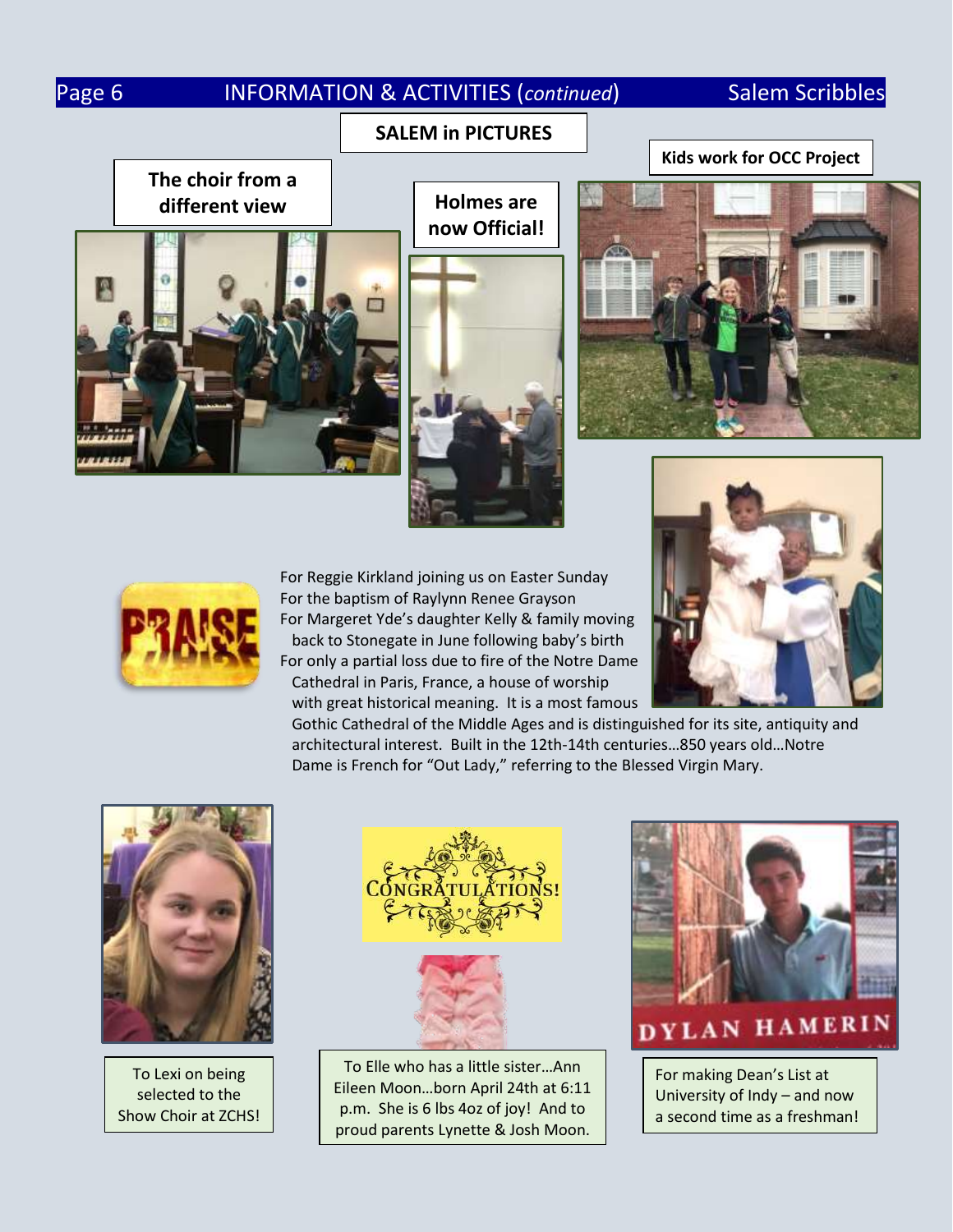## Page 6 **INFORMATION & ACTIVITIES (continued)** Salem Scribbles

### **SALEM in PICTURES**

**Kids work for OCC Project**

**The choir from a different view**



**Holmes are now Official!**







For Reggie Kirkland joining us on Easter Sunday For the baptism of Raylynn Renee Grayson For Margeret Yde's daughter Kelly & family moving back to Stonegate in June following baby's birth For only a partial loss due to fire of the Notre Dame Cathedral in Paris, France, a house of worship with great historical meaning. It is a most famous



 Gothic Cathedral of the Middle Ages and is distinguished for its site, antiquity and architectural interest. Built in the 12th-14th centuries…850 years old…Notre Dame is French for "Out Lady," referring to the Blessed Virgin Mary.



To Lexi on being selected to the Show Choir at ZCHS!



To Elle who has a little sister…Ann Eileen Moon…born April 24th at 6:11 p.m. She is 6 lbs 4oz of joy! And to proud parents Lynette & Josh Moon.



## DYLAN HAMERIN

For making Dean's List at University of Indy – and now a second time as a freshman!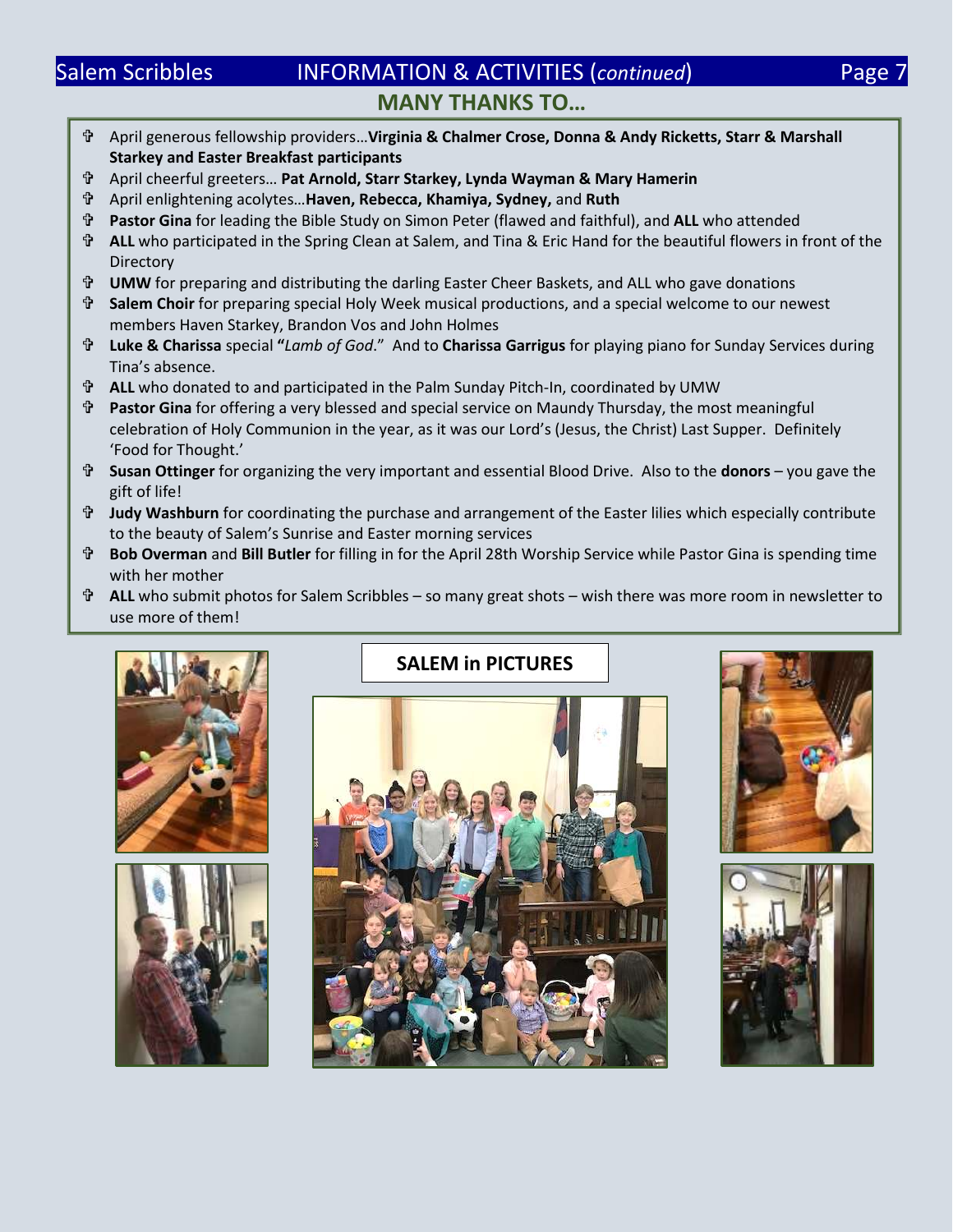## Salem Scribbles **INFORMATION & ACTIVITIES (continued)** Page 7 **MANY THANKS TO…**

- April generous fellowship providers…**Virginia & Chalmer Crose, Donna & Andy Ricketts, Starr & Marshall Starkey and Easter Breakfast participants**
- April cheerful greeters… **Pat Arnold, Starr Starkey, Lynda Wayman & Mary Hamerin**
- April enlightening acolytes…**Haven, Rebecca, Khamiya, Sydney,** and **Ruth**
- **Pastor Gina** for leading the Bible Study on Simon Peter (flawed and faithful), and **ALL** who attended
- **ALL** who participated in the Spring Clean at Salem, and Tina & Eric Hand for the beautiful flowers in front of the **Directory**
- **UMW** for preparing and distributing the darling Easter Cheer Baskets, and ALL who gave donations
- **Salem Choir** for preparing special Holy Week musical productions, and a special welcome to our newest members Haven Starkey, Brandon Vos and John Holmes
- **Luke & Charissa** special **"***Lamb of God*." And to **Charissa Garrigus** for playing piano for Sunday Services during Tina's absence.
- **ALL** who donated to and participated in the Palm Sunday Pitch-In, coordinated by UMW
- **Pastor Gina** for offering a very blessed and special service on Maundy Thursday, the most meaningful celebration of Holy Communion in the year, as it was our Lord's (Jesus, the Christ) Last Supper. Definitely 'Food for Thought.'
- **Susan Ottinger** for organizing the very important and essential Blood Drive. Also to the **donors** you gave the gift of life!
- **Judy Washburn** for coordinating the purchase and arrangement of the Easter lilies which especially contribute to the beauty of Salem's Sunrise and Easter morning services
- **Bob Overman** and **Bill Butler** for filling in for the April 28th Worship Service while Pastor Gina is spending time with her mother
- **ALL** who submit photos for Salem Scribbles so many great shots wish there was more room in newsletter to use more of them!





## **SALEM in PICTURES**